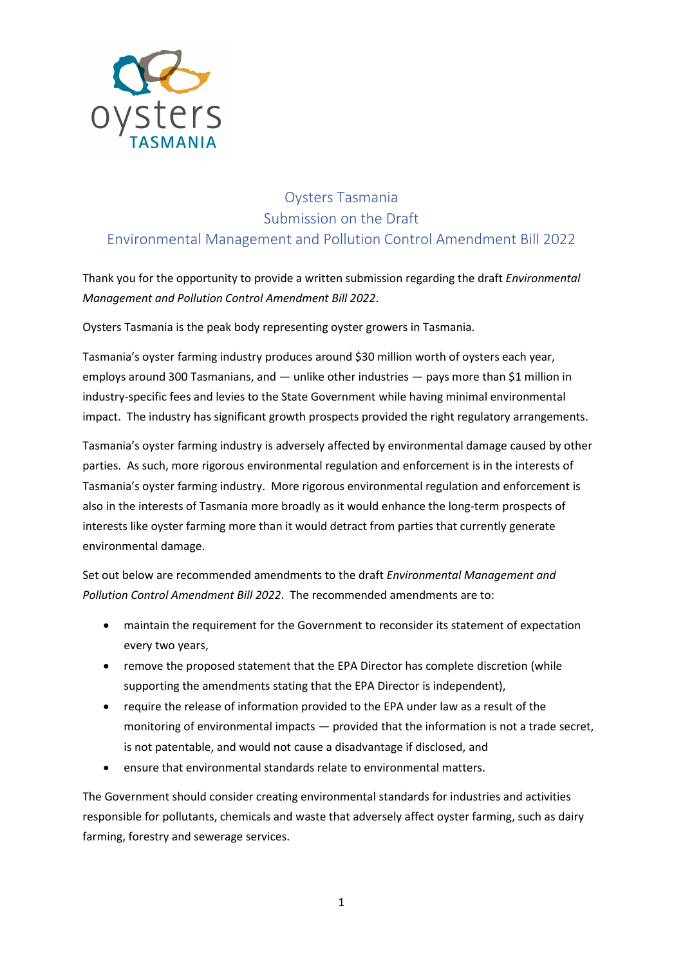

## Oysters Tasmania Submission on the Draft Environmental Management and Pollution Control Amendment Bill 2022

Thank you for the opportunity to provide a written submission regarding the draft *Environmental Management and Pollution Control Amendment Bill 2022*.

Oysters Tasmania is the peak body representing oyster growers in Tasmania.

Tasmania's oyster farming industry produces around \$30 million worth of oysters each year, employs around 300 Tasmanians, and — unlike other industries — pays more than \$1 million in industry-specific fees and levies to the State Government while having minimal environmental impact. The industry has significant growth prospects provided the right regulatory arrangements.

Tasmania's oyster farming industry is adversely affected by environmental damage caused by other parties. As such, more rigorous environmental regulation and enforcement is in the interests of Tasmania's oyster farming industry. More rigorous environmental regulation and enforcement is also in the interests of Tasmania more broadly as it would enhance the long-term prospects of interests like oyster farming more than it would detract from parties that currently generate environmental damage.

Set out below are recommended amendments to the draft *Environmental Management and Pollution Control Amendment Bill 2022*. The recommended amendments are to:

- maintain the requirement for the Government to reconsider its statement of expectation every two years,
- remove the proposed statement that the EPA Director has complete discretion (while supporting the amendments stating that the EPA Director is independent),
- require the release of information provided to the EPA under law as a result of the monitoring of environmental impacts — provided that the information is not a trade secret, is not patentable, and would not cause a disadvantage if disclosed, and
- ensure that environmental standards relate to environmental matters.

The Government should consider creating environmental standards for industries and activities responsible for pollutants, chemicals and waste that adversely affect oyster farming, such as dairy farming, forestry and sewerage services.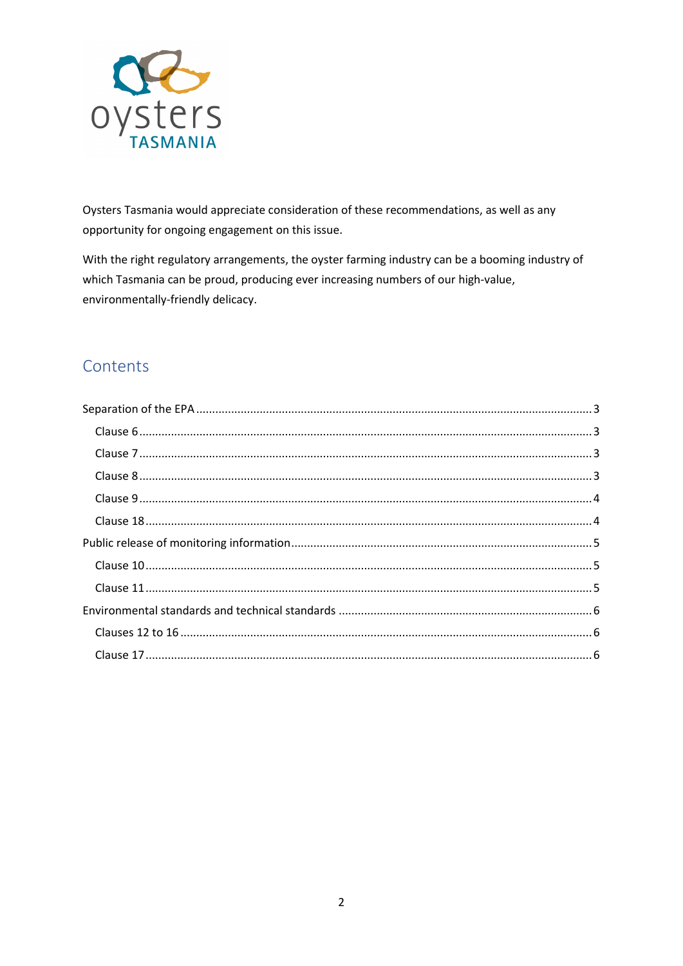

Oysters Tasmania would appreciate consideration of these recommendations, as well as any opportunity for ongoing engagement on this issue.

With the right regulatory arrangements, the oyster farming industry can be a booming industry of which Tasmania can be proud, producing ever increasing numbers of our high-value, environmentally-friendly delicacy.

# Contents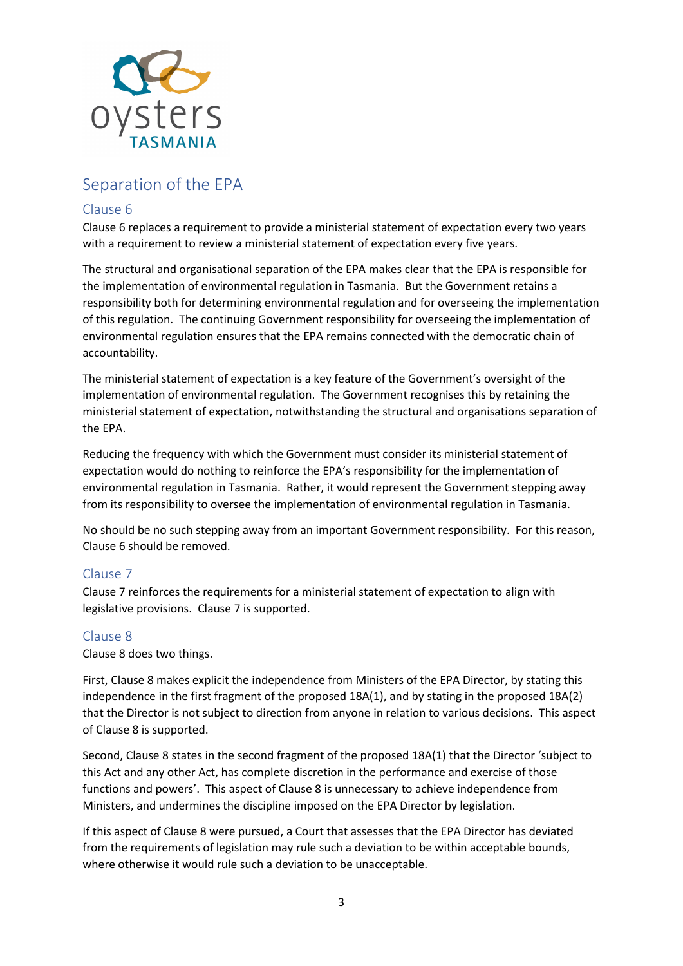

## <span id="page-2-0"></span>Separation of the EPA

## <span id="page-2-1"></span>Clause 6

Clause 6 replaces a requirement to provide a ministerial statement of expectation every two years with a requirement to review a ministerial statement of expectation every five years.

The structural and organisational separation of the EPA makes clear that the EPA is responsible for the implementation of environmental regulation in Tasmania. But the Government retains a responsibility both for determining environmental regulation and for overseeing the implementation of this regulation. The continuing Government responsibility for overseeing the implementation of environmental regulation ensures that the EPA remains connected with the democratic chain of accountability.

The ministerial statement of expectation is a key feature of the Government's oversight of the implementation of environmental regulation. The Government recognises this by retaining the ministerial statement of expectation, notwithstanding the structural and organisations separation of the EPA.

Reducing the frequency with which the Government must consider its ministerial statement of expectation would do nothing to reinforce the EPA's responsibility for the implementation of environmental regulation in Tasmania. Rather, it would represent the Government stepping away from its responsibility to oversee the implementation of environmental regulation in Tasmania.

No should be no such stepping away from an important Government responsibility. For this reason, Clause 6 should be removed.

## <span id="page-2-2"></span>Clause 7

Clause 7 reinforces the requirements for a ministerial statement of expectation to align with legislative provisions. Clause 7 is supported.

## <span id="page-2-3"></span>Clause 8

Clause 8 does two things.

First, Clause 8 makes explicit the independence from Ministers of the EPA Director, by stating this independence in the first fragment of the proposed 18A(1), and by stating in the proposed 18A(2) that the Director is not subject to direction from anyone in relation to various decisions. This aspect of Clause 8 is supported.

Second, Clause 8 states in the second fragment of the proposed 18A(1) that the Director 'subject to this Act and any other Act, has complete discretion in the performance and exercise of those functions and powers'. This aspect of Clause 8 is unnecessary to achieve independence from Ministers, and undermines the discipline imposed on the EPA Director by legislation.

If this aspect of Clause 8 were pursued, a Court that assesses that the EPA Director has deviated from the requirements of legislation may rule such a deviation to be within acceptable bounds, where otherwise it would rule such a deviation to be unacceptable.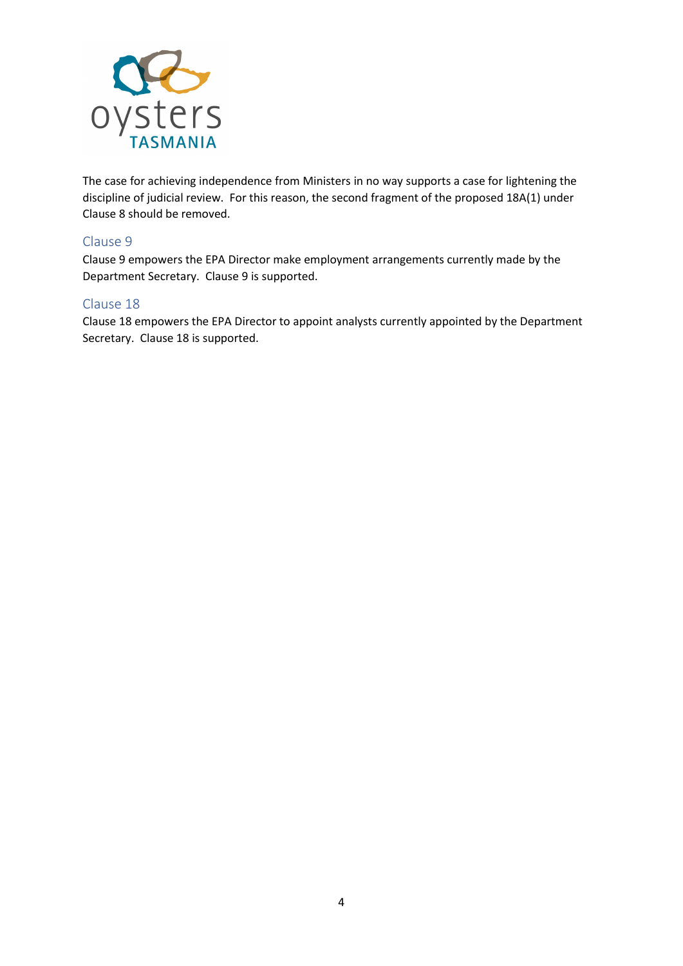

The case for achieving independence from Ministers in no way supports a case for lightening the discipline of judicial review. For this reason, the second fragment of the proposed 18A(1) under Clause 8 should be removed.

#### <span id="page-3-0"></span>Clause 9

Clause 9 empowers the EPA Director make employment arrangements currently made by the Department Secretary. Clause 9 is supported.

#### <span id="page-3-1"></span>Clause 18

Clause 18 empowers the EPA Director to appoint analysts currently appointed by the Department Secretary. Clause 18 is supported.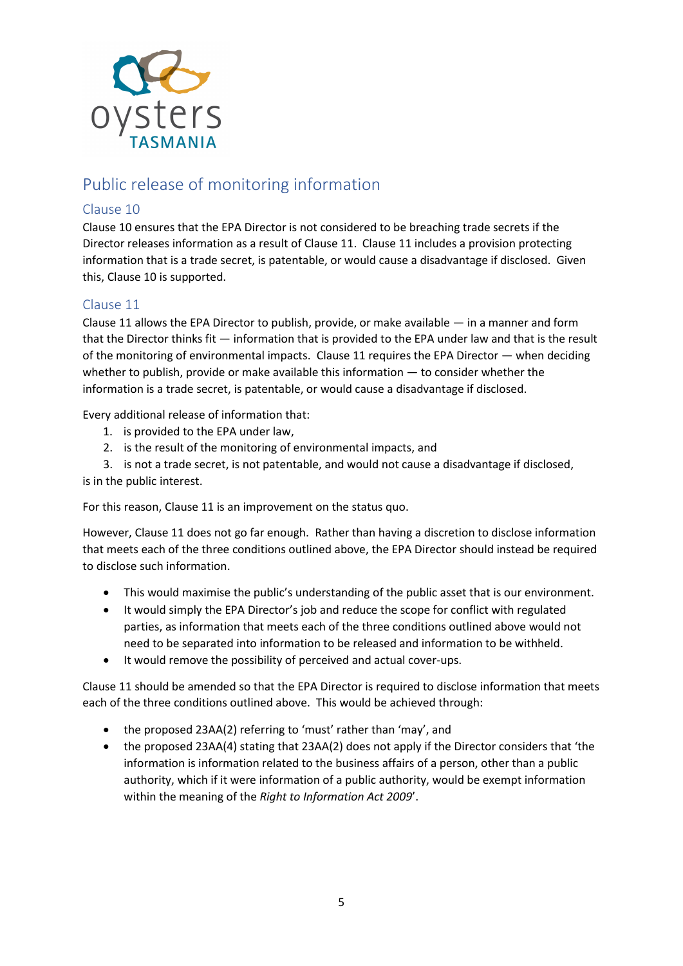

# <span id="page-4-0"></span>Public release of monitoring information

## <span id="page-4-1"></span>Clause 10

Clause 10 ensures that the EPA Director is not considered to be breaching trade secrets if the Director releases information as a result of Clause 11. Clause 11 includes a provision protecting information that is a trade secret, is patentable, or would cause a disadvantage if disclosed. Given this, Clause 10 is supported.

## <span id="page-4-2"></span>Clause 11

Clause 11 allows the EPA Director to publish, provide, or make available  $-$  in a manner and form that the Director thinks fit — information that is provided to the EPA under law and that is the result of the monitoring of environmental impacts. Clause 11 requires the EPA Director  $-$  when deciding whether to publish, provide or make available this information — to consider whether the information is a trade secret, is patentable, or would cause a disadvantage if disclosed.

Every additional release of information that:

- 1. is provided to the EPA under law,
- 2. is the result of the monitoring of environmental impacts, and

3. is not a trade secret, is not patentable, and would not cause a disadvantage if disclosed, is in the public interest.

For this reason, Clause 11 is an improvement on the status quo.

However, Clause 11 does not go far enough. Rather than having a discretion to disclose information that meets each of the three conditions outlined above, the EPA Director should instead be required to disclose such information.

- This would maximise the public's understanding of the public asset that is our environment.
- It would simply the EPA Director's job and reduce the scope for conflict with regulated parties, as information that meets each of the three conditions outlined above would not need to be separated into information to be released and information to be withheld.
- It would remove the possibility of perceived and actual cover-ups.

Clause 11 should be amended so that the EPA Director is required to disclose information that meets each of the three conditions outlined above. This would be achieved through:

- the proposed 23AA(2) referring to 'must' rather than 'may', and
- the proposed 23AA(4) stating that 23AA(2) does not apply if the Director considers that 'the information is information related to the business affairs of a person, other than a public authority, which if it were information of a public authority, would be exempt information within the meaning of the *Right to Information Act 2009*'.